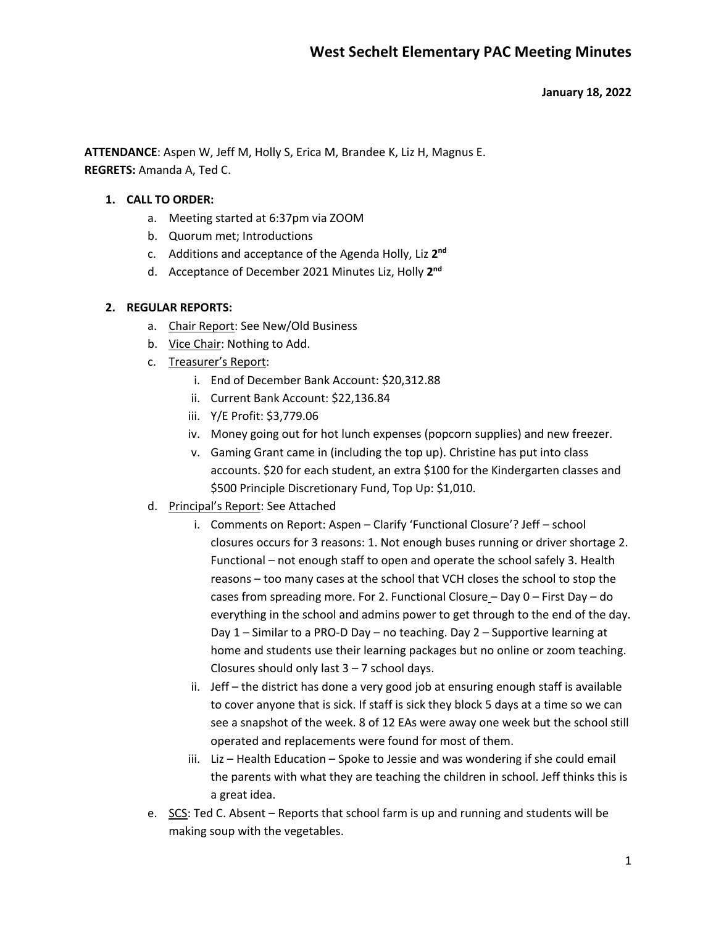#### **January 18, 2022**

**ATTENDANCE**: Aspen W, Jeff M, Holly S, Erica M, Brandee K, Liz H, Magnus E. **REGRETS:** Amanda A, Ted C.

#### **1. CALL TO ORDER:**

- a. Meeting started at 6:37pm via ZOOM
- b. Quorum met; Introductions
- c. Additions and acceptance of the Agenda Holly, Liz **2nd**
- d. Acceptance of December 2021 Minutes Liz, Holly **2nd**

#### **2. REGULAR REPORTS:**

- a. Chair Report: See New/Old Business
- b. Vice Chair: Nothing to Add.
- c. Treasurer's Report:
	- i. End of December Bank Account: \$20,312.88
	- ii. Current Bank Account: \$22,136.84
	- iii. Y/E Profit: \$3,779.06
	- iv. Money going out for hot lunch expenses (popcorn supplies) and new freezer.
	- v. Gaming Grant came in (including the top up). Christine has put into class accounts. \$20 for each student, an extra \$100 for the Kindergarten classes and \$500 Principle Discretionary Fund, Top Up: \$1,010.
- d. Principal's Report: See Attached
	- i. Comments on Report: Aspen Clarify 'Functional Closure'? Jeff school closures occurs for 3 reasons: 1. Not enough buses running or driver shortage 2. Functional – not enough staff to open and operate the school safely 3. Health reasons – too many cases at the school that VCH closes the school to stop the cases from spreading more. For 2. Functional Closure – Day 0 – First Day – do everything in the school and admins power to get through to the end of the day. Day 1 – Similar to a PRO-D Day – no teaching. Day 2 – Supportive learning at home and students use their learning packages but no online or zoom teaching. Closures should only last  $3 - 7$  school days.
	- ii. Jeff the district has done a very good job at ensuring enough staff is available to cover anyone that is sick. If staff is sick they block 5 days at a time so we can see a snapshot of the week. 8 of 12 EAs were away one week but the school still operated and replacements were found for most of them.
	- iii. Liz Health Education Spoke to Jessie and was wondering if she could email the parents with what they are teaching the children in school. Jeff thinks this is a great idea.
- e. SCS: Ted C. Absent Reports that school farm is up and running and students will be making soup with the vegetables.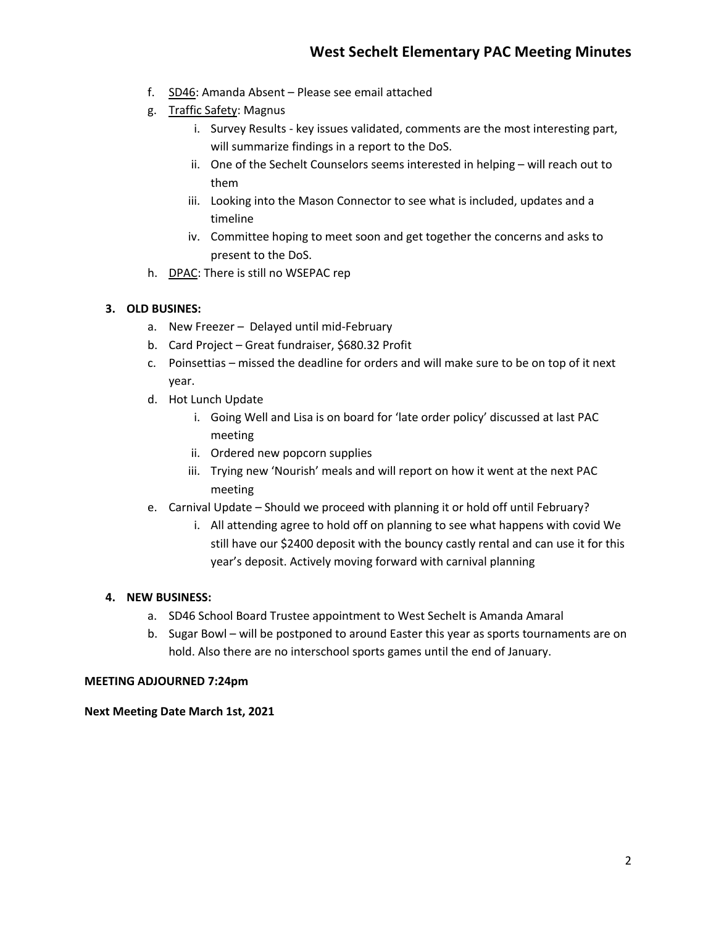- f. SD46: Amanda Absent Please see email attached
- g. Traffic Safety: Magnus
	- i. Survey Results key issues validated, comments are the most interesting part, will summarize findings in a report to the DoS.
	- ii. One of the Sechelt Counselors seems interested in helping will reach out to them
	- iii. Looking into the Mason Connector to see what is included, updates and a timeline
	- iv. Committee hoping to meet soon and get together the concerns and asks to present to the DoS.
- h. DPAC: There is still no WSEPAC rep

## **3. OLD BUSINES:**

- a. New Freezer Delayed until mid-February
- b. Card Project Great fundraiser, \$680.32 Profit
- c. Poinsettias missed the deadline for orders and will make sure to be on top of it next year.
- d. Hot Lunch Update
	- i. Going Well and Lisa is on board for 'late order policy' discussed at last PAC meeting
	- ii. Ordered new popcorn supplies
	- iii. Trying new 'Nourish' meals and will report on how it went at the next PAC meeting
- e. Carnival Update Should we proceed with planning it or hold off until February?
	- i. All attending agree to hold off on planning to see what happens with covid We still have our \$2400 deposit with the bouncy castly rental and can use it for this year's deposit. Actively moving forward with carnival planning

### **4. NEW BUSINESS:**

- a. SD46 School Board Trustee appointment to West Sechelt is Amanda Amaral
- b. Sugar Bowl will be postponed to around Easter this year as sports tournaments are on hold. Also there are no interschool sports games until the end of January.

### **MEETING ADJOURNED 7:24pm**

**Next Meeting Date March 1st, 2021**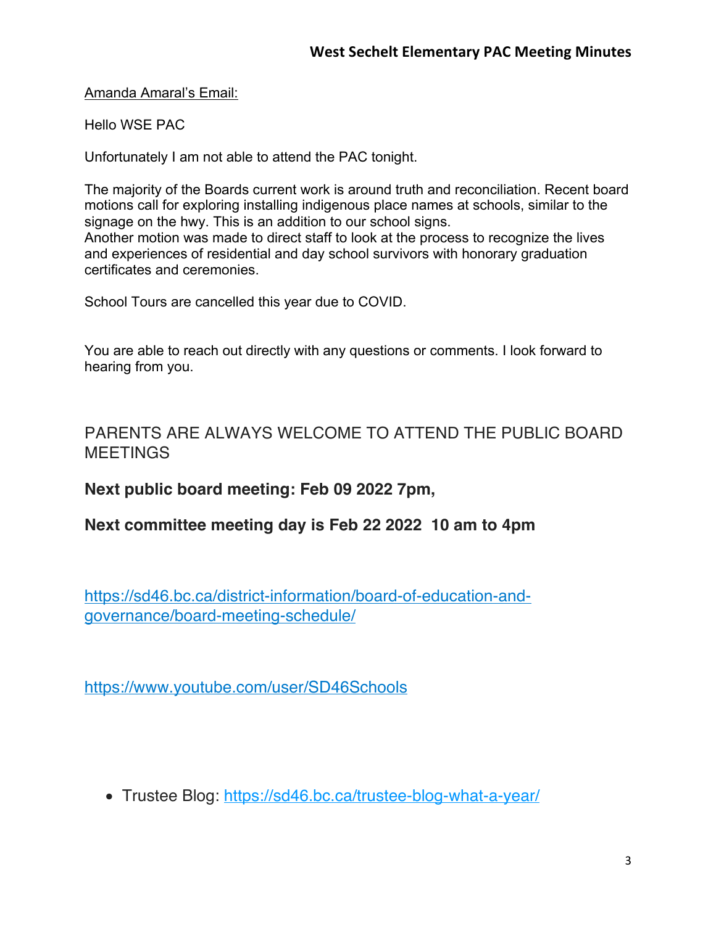Amanda Amaral's Email:

Hello WSE PAC

Unfortunately I am not able to attend the PAC tonight.

The majority of the Boards current work is around truth and reconciliation. Recent board motions call for exploring installing indigenous place names at schools, similar to the signage on the hwy. This is an addition to our school signs. Another motion was made to direct staff to look at the process to recognize the lives and experiences of residential and day school survivors with honorary graduation

certificates and ceremonies.

School Tours are cancelled this year due to COVID.

You are able to reach out directly with any questions or comments. I look forward to hearing from you.

# PARENTS ARE ALWAYS WELCOME TO ATTEND THE PUBLIC BOARD **MEETINGS**

**Next public board meeting: Feb 09 2022 7pm,**

**Next committee meeting day is Feb 22 2022 10 am to 4pm**

https://sd46.bc.ca/district-information/board-of-education-andgovernance/board-meeting-schedule/

https://www.youtube.com/user/SD46Schools

• Trustee Blog: https://sd46.bc.ca/trustee-blog-what-a-year/